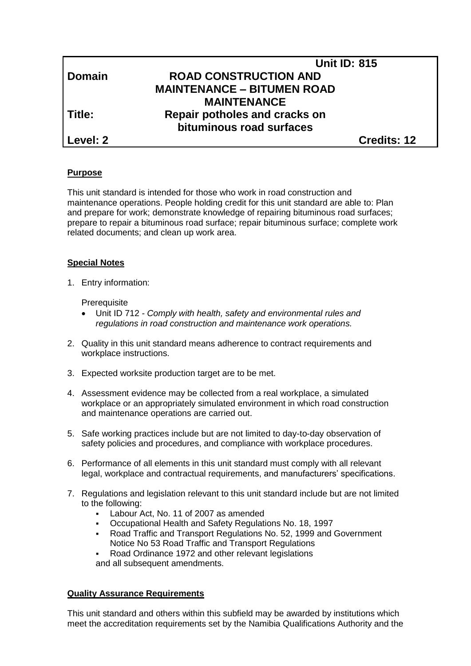|               | <b>Unit ID: 815</b>               |  |
|---------------|-----------------------------------|--|
| <b>Domain</b> | <b>ROAD CONSTRUCTION AND</b>      |  |
|               | <b>MAINTENANCE - BITUMEN ROAD</b> |  |
|               | <b>MAINTENANCE</b>                |  |
| Title:        | Repair potholes and cracks on     |  |
|               | bituminous road surfaces          |  |
| Level: 2      | <b>Credits: 12</b>                |  |

# **Purpose**

This unit standard is intended for those who work in road construction and maintenance operations. People holding credit for this unit standard are able to: Plan and prepare for work; demonstrate knowledge of repairing bituminous road surfaces; prepare to repair a bituminous road surface; repair bituminous surface; complete work related documents; and clean up work area.

## **Special Notes**

1. Entry information:

**Prerequisite** 

- Unit ID 712 *- Comply with health, safety and environmental rules and regulations in road construction and maintenance work operations.*
- 2. Quality in this unit standard means adherence to contract requirements and workplace instructions.
- 3. Expected worksite production target are to be met.
- 4. Assessment evidence may be collected from a real workplace, a simulated workplace or an appropriately simulated environment in which road construction and maintenance operations are carried out.
- 5. Safe working practices include but are not limited to day-to-day observation of safety policies and procedures, and compliance with workplace procedures.
- 6. Performance of all elements in this unit standard must comply with all relevant legal, workplace and contractual requirements, and manufacturers' specifications.
- 7. Regulations and legislation relevant to this unit standard include but are not limited to the following:
	- Labour Act, No. 11 of 2007 as amended
	- Occupational Health and Safety Regulations No. 18, 1997
	- Road Traffic and Transport Regulations No. 52, 1999 and Government Notice No 53 Road Traffic and Transport Regulations

 Road Ordinance 1972 and other relevant legislations and all subsequent amendments.

## **Quality Assurance Requirements**

This unit standard and others within this subfield may be awarded by institutions which meet the accreditation requirements set by the Namibia Qualifications Authority and the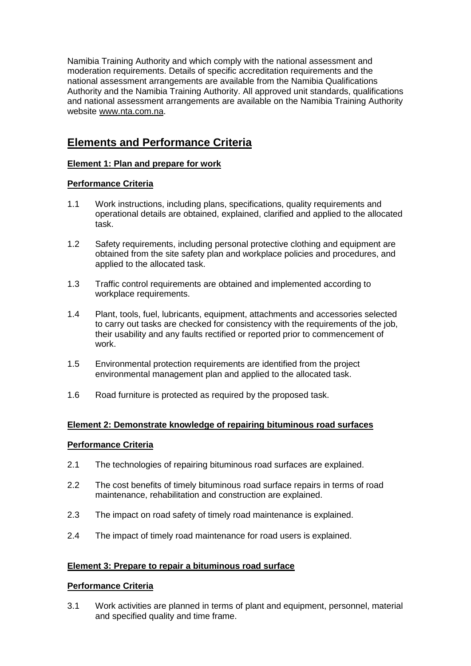Namibia Training Authority and which comply with the national assessment and moderation requirements. Details of specific accreditation requirements and the national assessment arrangements are available from the Namibia Qualifications Authority and the Namibia Training Authority. All approved unit standards, qualifications and national assessment arrangements are available on the Namibia Training Authority website [www.nta.com.na.](http://www.nta.com.na/)

# **Elements and Performance Criteria**

# **Element 1: Plan and prepare for work**

# **Performance Criteria**

- 1.1 Work instructions, including plans, specifications, quality requirements and operational details are obtained, explained, clarified and applied to the allocated task.
- 1.2 Safety requirements, including personal protective clothing and equipment are obtained from the site safety plan and workplace policies and procedures, and applied to the allocated task.
- 1.3 Traffic control requirements are obtained and implemented according to workplace requirements.
- 1.4 Plant, tools, fuel, lubricants, equipment, attachments and accessories selected to carry out tasks are checked for consistency with the requirements of the job, their usability and any faults rectified or reported prior to commencement of work.
- 1.5 Environmental protection requirements are identified from the project environmental management plan and applied to the allocated task.
- 1.6 Road furniture is protected as required by the proposed task.

## **Element 2: Demonstrate knowledge of repairing bituminous road surfaces**

## **Performance Criteria**

- 2.1 The technologies of repairing bituminous road surfaces are explained.
- 2.2 The cost benefits of timely bituminous road surface repairs in terms of road maintenance, rehabilitation and construction are explained.
- 2.3 The impact on road safety of timely road maintenance is explained.
- 2.4 The impact of timely road maintenance for road users is explained.

## **Element 3: Prepare to repair a bituminous road surface**

# **Performance Criteria**

3.1 Work activities are planned in terms of plant and equipment, personnel, material and specified quality and time frame.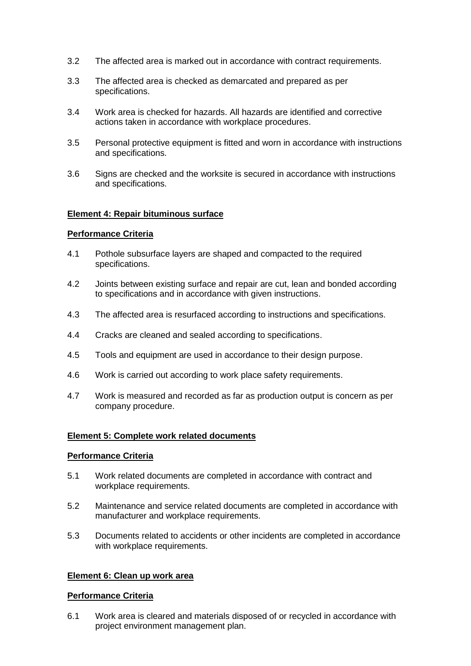- 3.2 The affected area is marked out in accordance with contract requirements.
- 3.3 The affected area is checked as demarcated and prepared as per specifications.
- 3.4 Work area is checked for hazards. All hazards are identified and corrective actions taken in accordance with workplace procedures.
- 3.5 Personal protective equipment is fitted and worn in accordance with instructions and specifications.
- 3.6 Signs are checked and the worksite is secured in accordance with instructions and specifications.

#### **Element 4: Repair bituminous surface**

### **Performance Criteria**

- 4.1 Pothole subsurface layers are shaped and compacted to the required specifications.
- 4.2 Joints between existing surface and repair are cut, lean and bonded according to specifications and in accordance with given instructions.
- 4.3 The affected area is resurfaced according to instructions and specifications.
- 4.4 Cracks are cleaned and sealed according to specifications.
- 4.5 Tools and equipment are used in accordance to their design purpose.
- 4.6 Work is carried out according to work place safety requirements.
- 4.7 Work is measured and recorded as far as production output is concern as per company procedure.

#### **Element 5: Complete work related documents**

#### **Performance Criteria**

- 5.1 Work related documents are completed in accordance with contract and workplace requirements.
- 5.2 Maintenance and service related documents are completed in accordance with manufacturer and workplace requirements.
- 5.3 Documents related to accidents or other incidents are completed in accordance with workplace requirements.

### **Element 6: Clean up work area**

#### **Performance Criteria**

6.1 Work area is cleared and materials disposed of or recycled in accordance with project environment management plan.